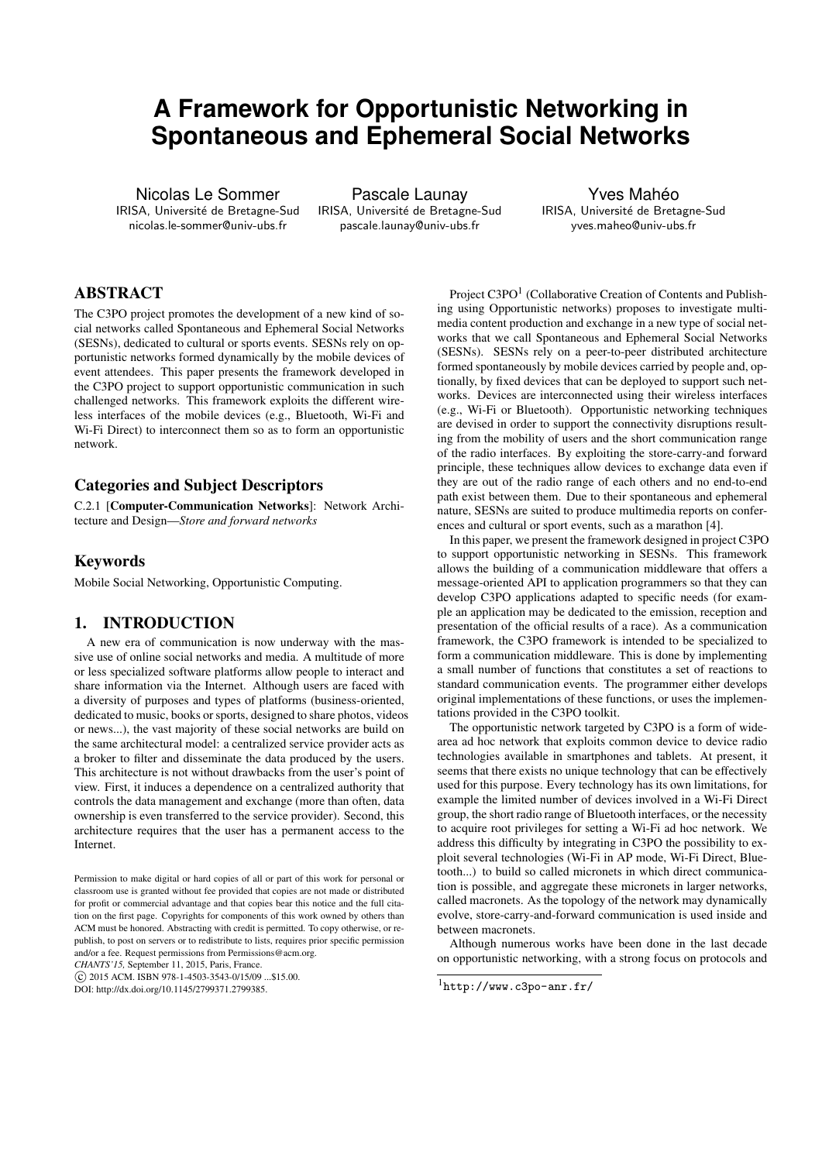# **A Framework for Opportunistic Networking in Spontaneous and Ephemeral Social Networks**

Nicolas Le Sommer IRISA, Université de Bretagne-Sud nicolas.le-sommer@univ-ubs.fr

Pascale Launay IRISA, Université de Bretagne-Sud pascale.launay@univ-ubs.fr

Yves Mahéo IRISA, Université de Bretagne-Sud yves.maheo@univ-ubs.fr

# ABSTRACT

The C3PO project promotes the development of a new kind of social networks called Spontaneous and Ephemeral Social Networks (SESNs), dedicated to cultural or sports events. SESNs rely on opportunistic networks formed dynamically by the mobile devices of event attendees. This paper presents the framework developed in the C3PO project to support opportunistic communication in such challenged networks. This framework exploits the different wireless interfaces of the mobile devices (e.g., Bluetooth, Wi-Fi and Wi-Fi Direct) to interconnect them so as to form an opportunistic network.

#### Categories and Subject Descriptors

C.2.1 [Computer-Communication Networks]: Network Architecture and Design—*Store and forward networks*

#### Keywords

Mobile Social Networking, Opportunistic Computing.

## 1. INTRODUCTION

A new era of communication is now underway with the massive use of online social networks and media. A multitude of more or less specialized software platforms allow people to interact and share information via the Internet. Although users are faced with a diversity of purposes and types of platforms (business-oriented, dedicated to music, books or sports, designed to share photos, videos or news...), the vast majority of these social networks are build on the same architectural model: a centralized service provider acts as a broker to filter and disseminate the data produced by the users. This architecture is not without drawbacks from the user's point of view. First, it induces a dependence on a centralized authority that controls the data management and exchange (more than often, data ownership is even transferred to the service provider). Second, this architecture requires that the user has a permanent access to the Internet.

*CHANTS'15,* September 11, 2015, Paris, France.

DOI: http://dx.doi.org/10.1145/2799371.2799385.

Project C3PO<sup>1</sup> (Collaborative Creation of Contents and Publishing using Opportunistic networks) proposes to investigate multimedia content production and exchange in a new type of social networks that we call Spontaneous and Ephemeral Social Networks (SESNs). SESNs rely on a peer-to-peer distributed architecture formed spontaneously by mobile devices carried by people and, optionally, by fixed devices that can be deployed to support such networks. Devices are interconnected using their wireless interfaces (e.g., Wi-Fi or Bluetooth). Opportunistic networking techniques are devised in order to support the connectivity disruptions resulting from the mobility of users and the short communication range of the radio interfaces. By exploiting the store-carry-and forward principle, these techniques allow devices to exchange data even if they are out of the radio range of each others and no end-to-end path exist between them. Due to their spontaneous and ephemeral nature, SESNs are suited to produce multimedia reports on conferences and cultural or sport events, such as a marathon [4].

In this paper, we present the framework designed in project C3PO to support opportunistic networking in SESNs. This framework allows the building of a communication middleware that offers a message-oriented API to application programmers so that they can develop C3PO applications adapted to specific needs (for example an application may be dedicated to the emission, reception and presentation of the official results of a race). As a communication framework, the C3PO framework is intended to be specialized to form a communication middleware. This is done by implementing a small number of functions that constitutes a set of reactions to standard communication events. The programmer either develops original implementations of these functions, or uses the implementations provided in the C3PO toolkit.

The opportunistic network targeted by C3PO is a form of widearea ad hoc network that exploits common device to device radio technologies available in smartphones and tablets. At present, it seems that there exists no unique technology that can be effectively used for this purpose. Every technology has its own limitations, for example the limited number of devices involved in a Wi-Fi Direct group, the short radio range of Bluetooth interfaces, or the necessity to acquire root privileges for setting a Wi-Fi ad hoc network. We address this difficulty by integrating in C3PO the possibility to exploit several technologies (Wi-Fi in AP mode, Wi-Fi Direct, Bluetooth...) to build so called micronets in which direct communication is possible, and aggregate these micronets in larger networks, called macronets. As the topology of the network may dynamically evolve, store-carry-and-forward communication is used inside and between macronets.

Although numerous works have been done in the last decade on opportunistic networking, with a strong focus on protocols and

Permission to make digital or hard copies of all or part of this work for personal or classroom use is granted without fee provided that copies are not made or distributed for profit or commercial advantage and that copies bear this notice and the full citation on the first page. Copyrights for components of this work owned by others than ACM must be honored. Abstracting with credit is permitted. To copy otherwise, or republish, to post on servers or to redistribute to lists, requires prior specific permission and/or a fee. Request permissions from Permissions@acm.org.

 $\overline{C}$  2015 ACM. ISBN 978-1-4503-3543-0/15/09 \$15.00

<sup>1</sup>http://www.c3po-anr.fr/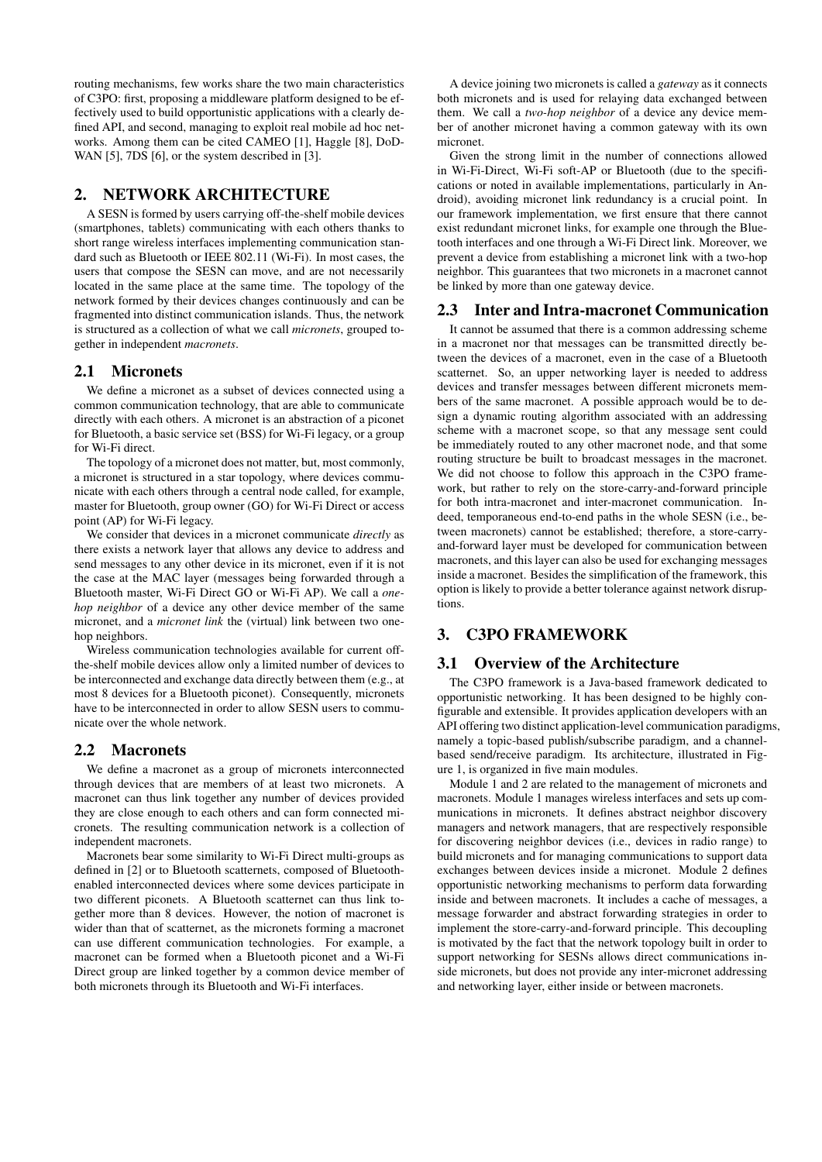routing mechanisms, few works share the two main characteristics of C3PO: first, proposing a middleware platform designed to be effectively used to build opportunistic applications with a clearly defined API, and second, managing to exploit real mobile ad hoc networks. Among them can be cited CAMEO [1], Haggle [8], DoD-WAN [5], 7DS [6], or the system described in [3].

# 2. NETWORK ARCHITECTURE

A SESN is formed by users carrying off-the-shelf mobile devices (smartphones, tablets) communicating with each others thanks to short range wireless interfaces implementing communication standard such as Bluetooth or IEEE 802.11 (Wi-Fi). In most cases, the users that compose the SESN can move, and are not necessarily located in the same place at the same time. The topology of the network formed by their devices changes continuously and can be fragmented into distinct communication islands. Thus, the network is structured as a collection of what we call *micronets*, grouped together in independent *macronets*.

# 2.1 Micronets

We define a micronet as a subset of devices connected using a common communication technology, that are able to communicate directly with each others. A micronet is an abstraction of a piconet for Bluetooth, a basic service set (BSS) for Wi-Fi legacy, or a group for Wi-Fi direct.

The topology of a micronet does not matter, but, most commonly, a micronet is structured in a star topology, where devices communicate with each others through a central node called, for example, master for Bluetooth, group owner (GO) for Wi-Fi Direct or access point (AP) for Wi-Fi legacy.

We consider that devices in a micronet communicate *directly* as there exists a network layer that allows any device to address and send messages to any other device in its micronet, even if it is not the case at the MAC layer (messages being forwarded through a Bluetooth master, Wi-Fi Direct GO or Wi-Fi AP). We call a *onehop neighbor* of a device any other device member of the same micronet, and a *micronet link* the (virtual) link between two onehop neighbors.

Wireless communication technologies available for current offthe-shelf mobile devices allow only a limited number of devices to be interconnected and exchange data directly between them (e.g., at most 8 devices for a Bluetooth piconet). Consequently, micronets have to be interconnected in order to allow SESN users to communicate over the whole network.

# 2.2 Macronets

We define a macronet as a group of micronets interconnected through devices that are members of at least two micronets. A macronet can thus link together any number of devices provided they are close enough to each others and can form connected micronets. The resulting communication network is a collection of independent macronets.

Macronets bear some similarity to Wi-Fi Direct multi-groups as defined in [2] or to Bluetooth scatternets, composed of Bluetoothenabled interconnected devices where some devices participate in two different piconets. A Bluetooth scatternet can thus link together more than 8 devices. However, the notion of macronet is wider than that of scatternet, as the micronets forming a macronet can use different communication technologies. For example, a macronet can be formed when a Bluetooth piconet and a Wi-Fi Direct group are linked together by a common device member of both micronets through its Bluetooth and Wi-Fi interfaces.

A device joining two micronets is called a *gateway* as it connects both micronets and is used for relaying data exchanged between them. We call a *two-hop neighbor* of a device any device member of another micronet having a common gateway with its own micronet.

Given the strong limit in the number of connections allowed in Wi-Fi-Direct, Wi-Fi soft-AP or Bluetooth (due to the specifications or noted in available implementations, particularly in Android), avoiding micronet link redundancy is a crucial point. In our framework implementation, we first ensure that there cannot exist redundant micronet links, for example one through the Bluetooth interfaces and one through a Wi-Fi Direct link. Moreover, we prevent a device from establishing a micronet link with a two-hop neighbor. This guarantees that two micronets in a macronet cannot be linked by more than one gateway device.

# 2.3 Inter and Intra-macronet Communication

It cannot be assumed that there is a common addressing scheme in a macronet nor that messages can be transmitted directly between the devices of a macronet, even in the case of a Bluetooth scatternet. So, an upper networking layer is needed to address devices and transfer messages between different micronets members of the same macronet. A possible approach would be to design a dynamic routing algorithm associated with an addressing scheme with a macronet scope, so that any message sent could be immediately routed to any other macronet node, and that some routing structure be built to broadcast messages in the macronet. We did not choose to follow this approach in the C3PO framework, but rather to rely on the store-carry-and-forward principle for both intra-macronet and inter-macronet communication. Indeed, temporaneous end-to-end paths in the whole SESN (i.e., between macronets) cannot be established; therefore, a store-carryand-forward layer must be developed for communication between macronets, and this layer can also be used for exchanging messages inside a macronet. Besides the simplification of the framework, this option is likely to provide a better tolerance against network disruptions.

# 3. C3PO FRAMEWORK

## 3.1 Overview of the Architecture

The C3PO framework is a Java-based framework dedicated to opportunistic networking. It has been designed to be highly configurable and extensible. It provides application developers with an API offering two distinct application-level communication paradigms, namely a topic-based publish/subscribe paradigm, and a channelbased send/receive paradigm. Its architecture, illustrated in Figure 1, is organized in five main modules.

Module 1 and 2 are related to the management of micronets and macronets. Module 1 manages wireless interfaces and sets up communications in micronets. It defines abstract neighbor discovery managers and network managers, that are respectively responsible for discovering neighbor devices (i.e., devices in radio range) to build micronets and for managing communications to support data exchanges between devices inside a micronet. Module 2 defines opportunistic networking mechanisms to perform data forwarding inside and between macronets. It includes a cache of messages, a message forwarder and abstract forwarding strategies in order to implement the store-carry-and-forward principle. This decoupling is motivated by the fact that the network topology built in order to support networking for SESNs allows direct communications inside micronets, but does not provide any inter-micronet addressing and networking layer, either inside or between macronets.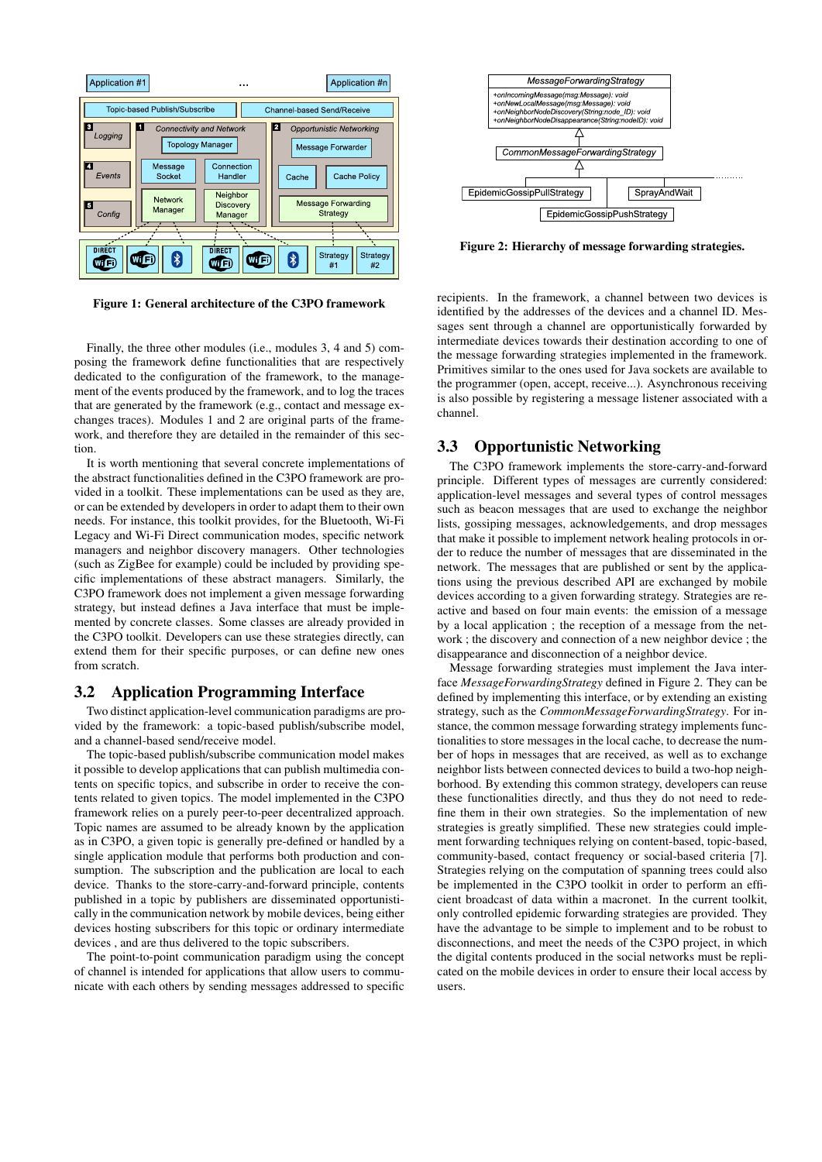

Figure 1: General architecture of the C3PO framework

Finally, the three other modules (i.e., modules 3, 4 and 5) composing the framework define functionalities that are respectively dedicated to the configuration of the framework, to the management of the events produced by the framework, and to log the traces that are generated by the framework (e.g., contact and message exchanges traces). Modules 1 and 2 are original parts of the framework, and therefore they are detailed in the remainder of this section.

It is worth mentioning that several concrete implementations of the abstract functionalities defined in the C3PO framework are provided in a toolkit. These implementations can be used as they are, or can be extended by developers in order to adapt them to their own needs. For instance, this toolkit provides, for the Bluetooth, Wi-Fi Legacy and Wi-Fi Direct communication modes, specific network managers and neighbor discovery managers. Other technologies (such as ZigBee for example) could be included by providing specific implementations of these abstract managers. Similarly, the C3PO framework does not implement a given message forwarding strategy, but instead defines a Java interface that must be implemented by concrete classes. Some classes are already provided in the C3PO toolkit. Developers can use these strategies directly, can extend them for their specific purposes, or can define new ones from scratch.

#### 3.2 Application Programming Interface

Two distinct application-level communication paradigms are provided by the framework: a topic-based publish/subscribe model, and a channel-based send/receive model.

The topic-based publish/subscribe communication model makes it possible to develop applications that can publish multimedia contents on specific topics, and subscribe in order to receive the contents related to given topics. The model implemented in the C3PO framework relies on a purely peer-to-peer decentralized approach. Topic names are assumed to be already known by the application as in C3PO, a given topic is generally pre-defined or handled by a single application module that performs both production and consumption. The subscription and the publication are local to each device. Thanks to the store-carry-and-forward principle, contents published in a topic by publishers are disseminated opportunistically in the communication network by mobile devices, being either devices hosting subscribers for this topic or ordinary intermediate devices , and are thus delivered to the topic subscribers.

The point-to-point communication paradigm using the concept of channel is intended for applications that allow users to communicate with each others by sending messages addressed to specific



Figure 2: Hierarchy of message forwarding strategies.

recipients. In the framework, a channel between two devices is identified by the addresses of the devices and a channel ID. Messages sent through a channel are opportunistically forwarded by intermediate devices towards their destination according to one of the message forwarding strategies implemented in the framework. Primitives similar to the ones used for Java sockets are available to the programmer (open, accept, receive...). Asynchronous receiving is also possible by registering a message listener associated with a channel.

## 3.3 Opportunistic Networking

The C3PO framework implements the store-carry-and-forward principle. Different types of messages are currently considered: application-level messages and several types of control messages such as beacon messages that are used to exchange the neighbor lists, gossiping messages, acknowledgements, and drop messages that make it possible to implement network healing protocols in order to reduce the number of messages that are disseminated in the network. The messages that are published or sent by the applications using the previous described API are exchanged by mobile devices according to a given forwarding strategy. Strategies are reactive and based on four main events: the emission of a message by a local application ; the reception of a message from the network ; the discovery and connection of a new neighbor device ; the disappearance and disconnection of a neighbor device.

Message forwarding strategies must implement the Java interface *MessageForwardingStrategy* defined in Figure 2. They can be defined by implementing this interface, or by extending an existing strategy, such as the *CommonMessageForwardingStrategy*. For instance, the common message forwarding strategy implements functionalities to store messages in the local cache, to decrease the number of hops in messages that are received, as well as to exchange neighbor lists between connected devices to build a two-hop neighborhood. By extending this common strategy, developers can reuse these functionalities directly, and thus they do not need to redefine them in their own strategies. So the implementation of new strategies is greatly simplified. These new strategies could implement forwarding techniques relying on content-based, topic-based, community-based, contact frequency or social-based criteria [7]. Strategies relying on the computation of spanning trees could also be implemented in the C3PO toolkit in order to perform an efficient broadcast of data within a macronet. In the current toolkit, only controlled epidemic forwarding strategies are provided. They have the advantage to be simple to implement and to be robust to disconnections, and meet the needs of the C3PO project, in which the digital contents produced in the social networks must be replicated on the mobile devices in order to ensure their local access by users.